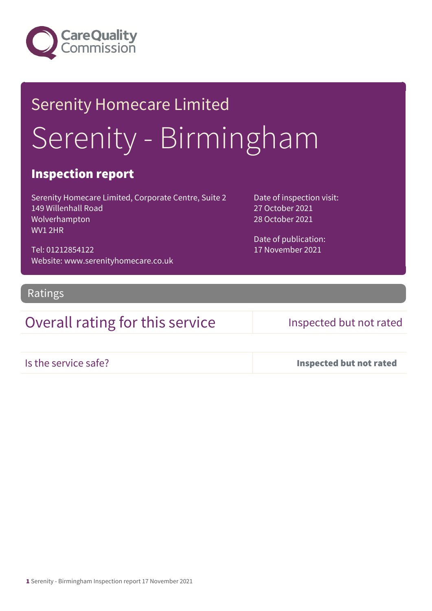

## Serenity Homecare Limited Serenity - Birmingham

### Inspection report

Serenity Homecare Limited, Corporate Centre, Suite 2 149 Willenhall Road Wolverhampton WV1 2HR

Tel: 01212854122 Website: www.serenityhomecare.co.uk Date of inspection visit: 27 October 2021 28 October 2021

Date of publication: 17 November 2021

Ratings

### Overall rating for this service Inspected but not rated

Is the service safe? Inspected but not rated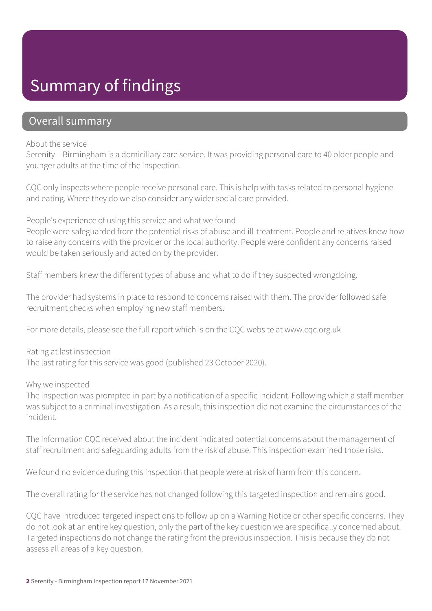### Summary of findings

### Overall summary

#### About the service

Serenity – Birmingham is a domiciliary care service. It was providing personal care to 40 older people and younger adults at the time of the inspection.

CQC only inspects where people receive personal care. This is help with tasks related to personal hygiene and eating. Where they do we also consider any wider social care provided.

People's experience of using this service and what we found

People were safeguarded from the potential risks of abuse and ill-treatment. People and relatives knew how to raise any concerns with the provider or the local authority. People were confident any concerns raised would be taken seriously and acted on by the provider.

Staff members knew the different types of abuse and what to do if they suspected wrongdoing.

The provider had systems in place to respond to concerns raised with them. The provider followed safe recruitment checks when employing new staff members.

For more details, please see the full report which is on the CQC website at www.cqc.org.uk

Rating at last inspection The last rating for this service was good (published 23 October 2020).

Why we inspected

The inspection was prompted in part by a notification of a specific incident. Following which a staff member was subject to a criminal investigation. As a result, this inspection did not examine the circumstances of the incident.

The information CQC received about the incident indicated potential concerns about the management of staff recruitment and safeguarding adults from the risk of abuse. This inspection examined those risks.

We found no evidence during this inspection that people were at risk of harm from this concern.

The overall rating for the service has not changed following this targeted inspection and remains good.

CQC have introduced targeted inspections to follow up on a Warning Notice or other specific concerns. They do not look at an entire key question, only the part of the key question we are specifically concerned about. Targeted inspections do not change the rating from the previous inspection. This is because they do not assess all areas of a key question.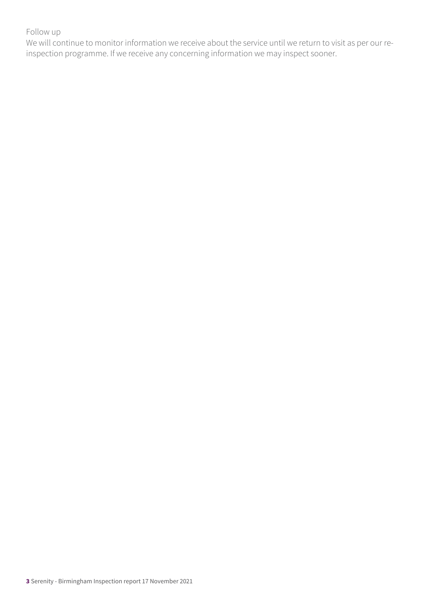### Follow up

We will continue to monitor information we receive about the service until we return to visit as per our reinspection programme. If we receive any concerning information we may inspect sooner.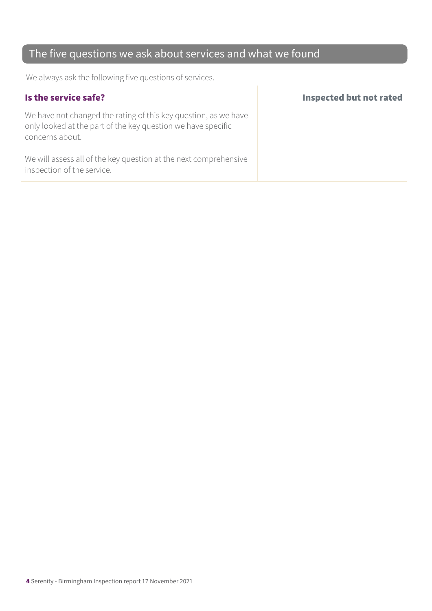### The five questions we ask about services and what we found

We always ask the following five questions of services.

We have not changed the rating of this key question, as we have only looked at the part of the key question we have specific concerns about.

We will assess all of the key question at the next comprehensive inspection of the service.

#### Is the service safe? Inspected but not rated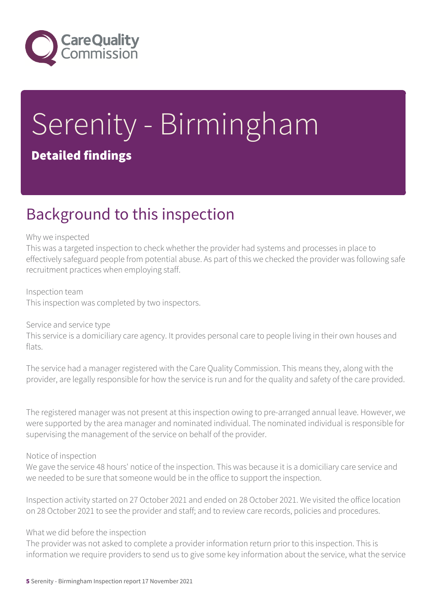

# Serenity - Birmingham

### Detailed findings

### Background to this inspection

#### Why we inspected

This was a targeted inspection to check whether the provider had systems and processes in place to effectively safeguard people from potential abuse. As part of this we checked the provider was following safe recruitment practices when employing staff.

#### Inspection team This inspection was completed by two inspectors.

### Service and service type

This service is a domiciliary care agency. It provides personal care to people living in their own houses and flats.

The service had a manager registered with the Care Quality Commission. This means they, along with the provider, are legally responsible for how the service is run and for the quality and safety of the care provided.

The registered manager was not present at this inspection owing to pre-arranged annual leave. However, we were supported by the area manager and nominated individual. The nominated individual is responsible for supervising the management of the service on behalf of the provider.

### Notice of inspection

We gave the service 48 hours' notice of the inspection. This was because it is a domiciliary care service and we needed to be sure that someone would be in the office to support the inspection.

Inspection activity started on 27 October 2021 and ended on 28 October 2021. We visited the office location on 28 October 2021 to see the provider and staff; and to review care records, policies and procedures.

### What we did before the inspection

The provider was not asked to complete a provider information return prior to this inspection. This is information we require providers to send us to give some key information about the service, what the service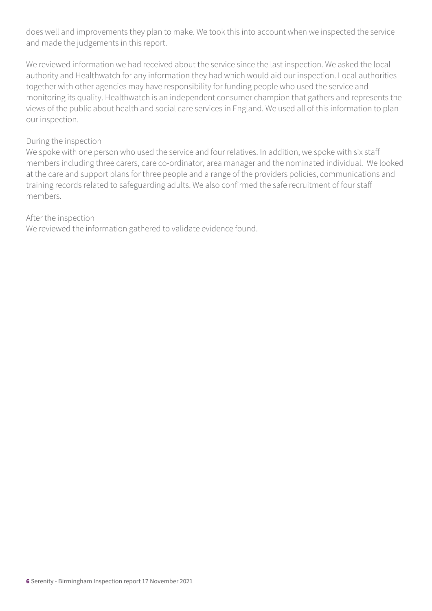does well and improvements they plan to make. We took this into account when we inspected the service and made the judgements in this report.

We reviewed information we had received about the service since the last inspection. We asked the local authority and Healthwatch for any information they had which would aid our inspection. Local authorities together with other agencies may have responsibility for funding people who used the service and monitoring its quality. Healthwatch is an independent consumer champion that gathers and represents the views of the public about health and social care services in England. We used all of this information to plan our inspection.

#### During the inspection

We spoke with one person who used the service and four relatives. In addition, we spoke with six staff members including three carers, care co-ordinator, area manager and the nominated individual. We looked at the care and support plans for three people and a range of the providers policies, communications and training records related to safeguarding adults. We also confirmed the safe recruitment of four staff members.

### After the inspection

We reviewed the information gathered to validate evidence found.